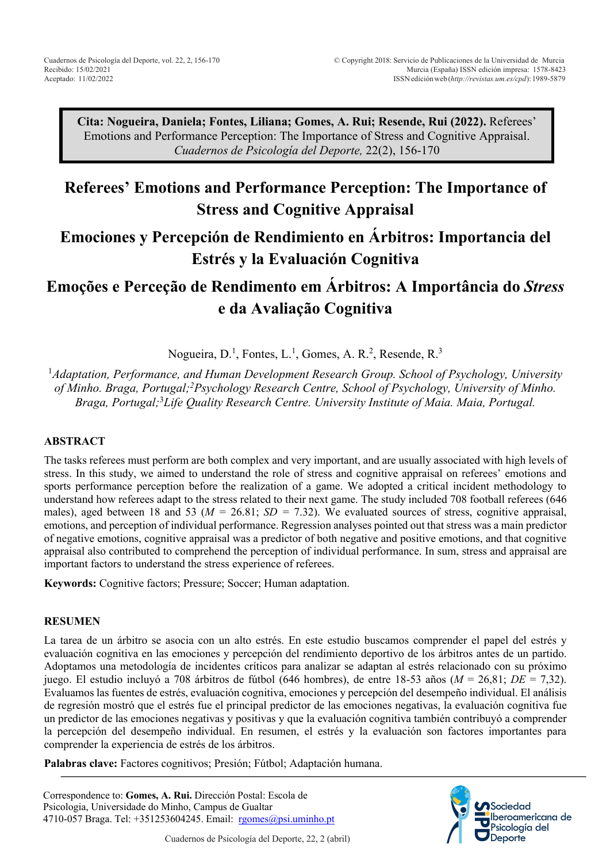**Cita: Nogueira, Daniela; Fontes, Liliana; Gomes, A. Rui; Resende, Rui (2022).** Referees' Emotions and Performance Perception: The Importance of Stress and Cognitive Appraisal. *Cuadernos de Psicología del Deporte,* 22(2), 156-170

# **Referees' Emotions and Performance Perception: The Importance of Stress and Cognitive Appraisal**

# **Emociones y Percepción de Rendimiento en Árbitros: Importancia del Estrés y la Evaluación Cognitiva**

# **Emoções e Perceção de Rendimento em Árbitros: A Importância do** *Stress* **e da Avaliação Cognitiva**

Nogueira, D.<sup>1</sup>, Fontes, L.<sup>1</sup>, Gomes, A. R.<sup>2</sup>, Resende, R.<sup>3</sup>

1 *Adaptation, Performance, and Human Development Research Group. School of Psychology, University of Minho. Braga, Portugal; 2 Psychology Research Centre, School of Psychology, University of Minho. Braga, Portugal;* 3 *Life Quality Research Centre. University Institute of Maia. Maia, Portugal.*

# **ABSTRACT**

The tasks referees must perform are both complex and very important, and are usually associated with high levels of stress. In this study, we aimed to understand the role of stress and cognitive appraisal on referees' emotions and sports performance perception before the realization of a game. We adopted a critical incident methodology to understand how referees adapt to the stress related to their next game. The study included 708 football referees (646 males), aged between 18 and 53 (*M =* 26.81; *SD =* 7.32). We evaluated sources of stress, cognitive appraisal, emotions, and perception of individual performance. Regression analyses pointed out that stress was a main predictor of negative emotions, cognitive appraisal was a predictor of both negative and positive emotions, and that cognitive appraisal also contributed to comprehend the perception of individual performance. In sum, stress and appraisal are important factors to understand the stress experience of referees.

**Keywords:** Cognitive factors; Pressure; Soccer; Human adaptation.

#### **RESUMEN**

La tarea de un árbitro se asocia con un alto estrés. En este estudio buscamos comprender el papel del estrés y evaluación cognitiva en las emociones y percepción del rendimiento deportivo de los árbitros antes de un partido. Adoptamos una metodología de incidentes críticos para analizar se adaptan al estrés relacionado con su próximo juego. El estudio incluyó a 708 árbitros de fútbol (646 hombres), de entre 18-53 años (*M* = 26,81; *DE* = 7,32). Evaluamos las fuentes de estrés, evaluación cognitiva, emociones y percepción del desempeño individual. El análisis de regresión mostró que el estrés fue el principal predictor de las emociones negativas, la evaluación cognitiva fue un predictor de las emociones negativas y positivas y que la evaluación cognitiva también contribuyó a comprender la percepción del desempeño individual. En resumen, el estrés y la evaluación son factores importantes para comprender la experiencia de estrés de los árbitros.

**Palabras clave:** Factores cognitivos; Presión; Fútbol; Adaptación humana.



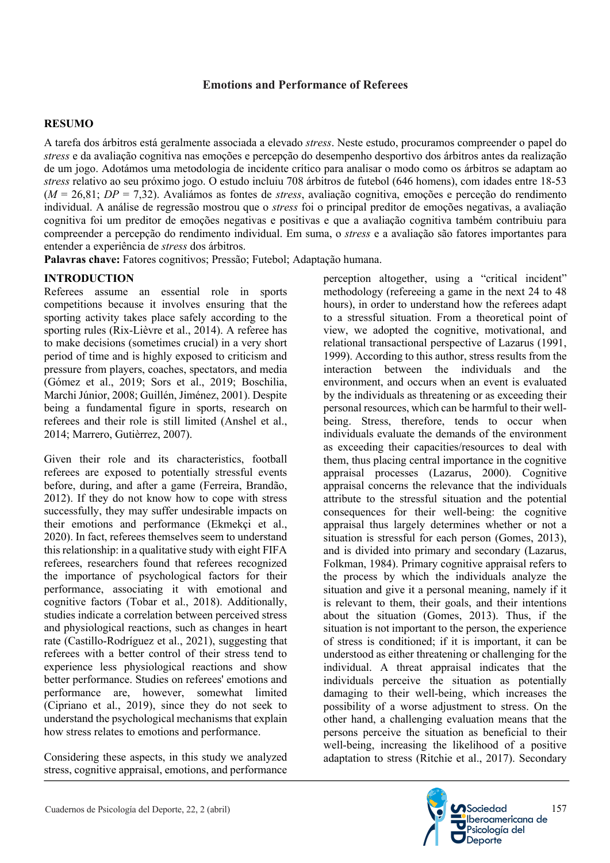## **Emotions and Performance of Referees**

## **RESUMO**

A tarefa dos árbitros está geralmente associada a elevado *stress*. Neste estudo, procuramos compreender o papel do *stress* e da avaliação cognitiva nas emoções e percepção do desempenho desportivo dos árbitros antes da realização de um jogo. Adotámos uma metodologia de incidente crítico para analisar o modo como os árbitros se adaptam ao *stress* relativo ao seu próximo jogo. O estudo incluiu 708 árbitros de futebol (646 homens), com idades entre 18-53 (*M* = 26,81; *DP* = 7,32). Avaliámos as fontes de *stress*, avaliação cognitiva, emoções e perceção do rendimento individual. A análise de regressão mostrou que o *stress* foi o principal preditor de emoções negativas, a avaliação cognitiva foi um preditor de emoções negativas e positivas e que a avaliação cognitiva também contribuiu para compreender a percepção do rendimento individual. Em suma, o *stress* e a avaliação são fatores importantes para entender a experiência de *stress* dos árbitros.

**Palavras chave:** Fatores cognitivos; Pressão; Futebol; Adaptação humana.

# **INTRODUCTION**

Referees assume an essential role in sports competitions because it involves ensuring that the sporting activity takes place safely according to the sporting rules (Rix-Lièvre et al., 2014). A referee has to make decisions (sometimes crucial) in a very short period of time and is highly exposed to criticism and pressure from players, coaches, spectators, and media (Gómez et al., 2019; Sors et al., 2019; Boschilia, Marchi Júnior, 2008; Guillén, Jiménez, 2001). Despite being a fundamental figure in sports, research on referees and their role is still limited (Anshel et al., 2014; Marrero, Gutièrrez, 2007).

Given their role and its characteristics, football referees are exposed to potentially stressful events before, during, and after a game (Ferreira, Brandão, 2012). If they do not know how to cope with stress successfully, they may suffer undesirable impacts on their emotions and performance (Ekmekçi et al., 2020). In fact, referees themselves seem to understand this relationship: in a qualitative study with eight FIFA referees, researchers found that referees recognized the importance of psychological factors for their performance, associating it with emotional and cognitive factors (Tobar et al., 2018). Additionally, studies indicate a correlation between perceived stress and physiological reactions, such as changes in heart rate (Castillo-Rodríguez et al., 2021), suggesting that referees with a better control of their stress tend to experience less physiological reactions and show better performance. Studies on referees' emotions and performance are, however, somewhat limited (Cipriano et al., 2019), since they do not seek to understand the psychological mechanisms that explain how stress relates to emotions and performance.

Considering these aspects, in this study we analyzed stress, cognitive appraisal, emotions, and performance perception altogether, using a "critical incident" methodology (refereeing a game in the next 24 to 48 hours), in order to understand how the referees adapt to a stressful situation. From a theoretical point of view, we adopted the cognitive, motivational, and relational transactional perspective of Lazarus (1991, 1999). According to this author, stress results from the interaction between the individuals and the environment, and occurs when an event is evaluated by the individuals as threatening or as exceeding their personal resources, which can be harmful to their wellbeing. Stress, therefore, tends to occur when individuals evaluate the demands of the environment as exceeding their capacities/resources to deal with them, thus placing central importance in the cognitive appraisal processes (Lazarus, 2000). Cognitive appraisal concerns the relevance that the individuals attribute to the stressful situation and the potential consequences for their well-being: the cognitive appraisal thus largely determines whether or not a situation is stressful for each person (Gomes, 2013), and is divided into primary and secondary (Lazarus, Folkman, 1984). Primary cognitive appraisal refers to the process by which the individuals analyze the situation and give it a personal meaning, namely if it is relevant to them, their goals, and their intentions about the situation (Gomes, 2013). Thus, if the situation is not important to the person, the experience of stress is conditioned; if it is important, it can be understood as either threatening or challenging for the individual. A threat appraisal indicates that the individuals perceive the situation as potentially damaging to their well-being, which increases the possibility of a worse adjustment to stress. On the other hand, a challenging evaluation means that the persons perceive the situation as beneficial to their well-being, increasing the likelihood of a positive adaptation to stress (Ritchie et al., 2017). Secondary

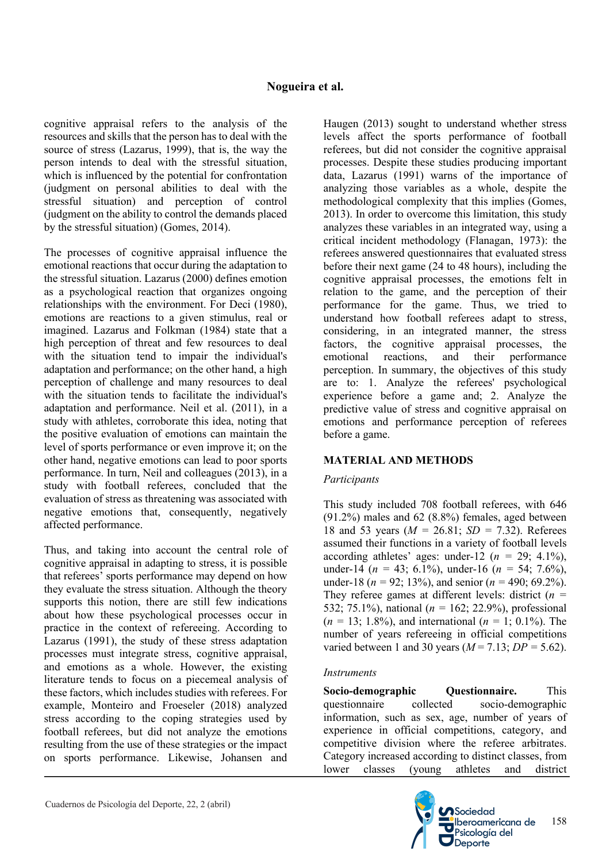cognitive appraisal refers to the analysis of the resources and skills that the person has to deal with the source of stress (Lazarus, 1999), that is, the way the person intends to deal with the stressful situation, which is influenced by the potential for confrontation (judgment on personal abilities to deal with the stressful situation) and perception of control (judgment on the ability to control the demands placed by the stressful situation) (Gomes, 2014).

The processes of cognitive appraisal influence the emotional reactions that occur during the adaptation to the stressful situation. Lazarus (2000) defines emotion as a psychological reaction that organizes ongoing relationships with the environment. For Deci (1980), emotions are reactions to a given stimulus, real or imagined. Lazarus and Folkman (1984) state that a high perception of threat and few resources to deal with the situation tend to impair the individual's adaptation and performance; on the other hand, a high perception of challenge and many resources to deal with the situation tends to facilitate the individual's adaptation and performance. Neil et al. (2011), in a study with athletes, corroborate this idea, noting that the positive evaluation of emotions can maintain the level of sports performance or even improve it; on the other hand, negative emotions can lead to poor sports performance. In turn, Neil and colleagues (2013), in a study with football referees, concluded that the evaluation of stress as threatening was associated with negative emotions that, consequently, negatively affected performance.

Thus, and taking into account the central role of cognitive appraisal in adapting to stress, it is possible that referees' sports performance may depend on how they evaluate the stress situation. Although the theory supports this notion, there are still few indications about how these psychological processes occur in practice in the context of refereeing. According to Lazarus (1991), the study of these stress adaptation processes must integrate stress, cognitive appraisal, and emotions as a whole. However, the existing literature tends to focus on a piecemeal analysis of these factors, which includes studies with referees. For example, Monteiro and Froeseler (2018) analyzed stress according to the coping strategies used by football referees, but did not analyze the emotions resulting from the use of these strategies or the impact on sports performance. Likewise, Johansen and

Haugen (2013) sought to understand whether stress levels affect the sports performance of football referees, but did not consider the cognitive appraisal processes. Despite these studies producing important data, Lazarus (1991) warns of the importance of analyzing those variables as a whole, despite the methodological complexity that this implies (Gomes, 2013). In order to overcome this limitation, this study analyzes these variables in an integrated way, using a critical incident methodology (Flanagan, 1973): the referees answered questionnaires that evaluated stress before their next game (24 to 48 hours), including the cognitive appraisal processes, the emotions felt in relation to the game, and the perception of their performance for the game. Thus, we tried to understand how football referees adapt to stress, considering, in an integrated manner, the stress factors, the cognitive appraisal processes, the emotional reactions, and their performance perception. In summary, the objectives of this study are to: 1. Analyze the referees' psychological experience before a game and; 2. Analyze the predictive value of stress and cognitive appraisal on emotions and performance perception of referees before a game.

# **MATERIAL AND METHODS**

## *Participants*

This study included 708 football referees, with 646 (91.2%) males and 62 (8.8%) females, aged between 18 and 53 years (*M =* 26.81; *SD =* 7.32). Referees assumed their functions in a variety of football levels according athletes' ages: under-12 ( $n = 29$ ; 4.1%), under-14 (*n =* 43; 6.1%), under-16 (*n =* 54; 7.6%), under-18 (*n =* 92; 13%), and senior (*n =* 490; 69.2%). They referee games at different levels: district (*n =* 532; 75.1%), national (*n =* 162; 22.9%), professional (*n =* 13; 1.8%), and international (*n =* 1; 0.1%). The number of years refereeing in official competitions varied between 1 and 30 years  $(M = 7.13; DP = 5.62)$ .

## *Instruments*

**Socio-demographic Questionnaire.** This questionnaire collected socio-demographic information, such as sex, age, number of years of experience in official competitions, category, and competitive division where the referee arbitrates. Category increased according to distinct classes, from lower classes (young athletes and district

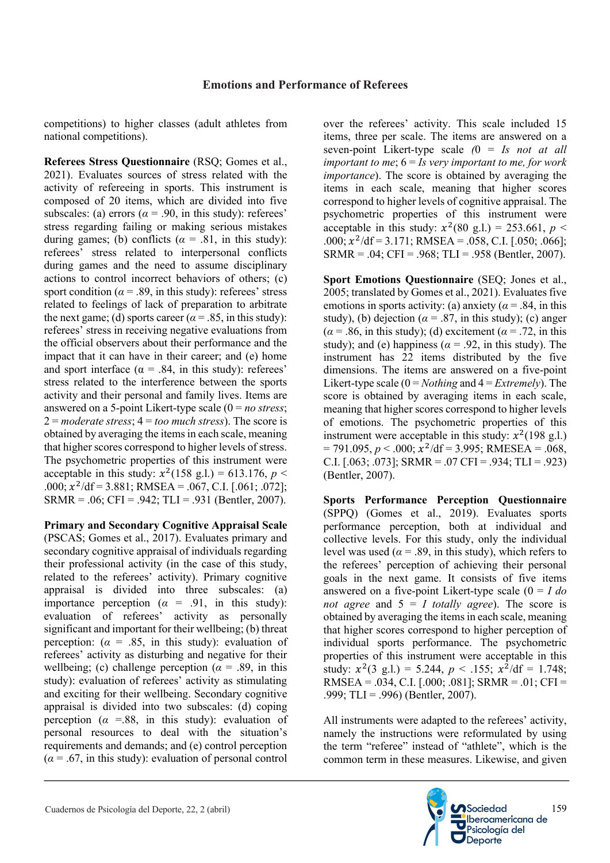competitions) to higher classes (adult athletes from national competitions).

**Referees Stress Questionnaire** (RSQ; Gomes et al., 2021). Evaluates sources of stress related with the activity of refereeing in sports. This instrument is composed of 20 items, which are divided into five subscales: (a) errors ( $\alpha$  = .90, in this study): referees' stress regarding failing or making serious mistakes during games; (b) conflicts ( $\alpha = .81$ , in this study): referees' stress related to interpersonal conflicts during games and the need to assume disciplinary actions to control incorrect behaviors of others; (c) sport condition ( $\alpha$  = .89, in this study): referees' stress related to feelings of lack of preparation to arbitrate the next game; (d) sports career ( $\alpha$  = .85, in this study): referees' stress in receiving negative evaluations from the official observers about their performance and the impact that it can have in their career; and (e) home and sport interface ( $\alpha$  = .84, in this study): referees' stress related to the interference between the sports activity and their personal and family lives. Items are answered on a 5-point Likert-type scale (0 = *no stress*;  $2 =$ *moderate stress*;  $4 =$ *too much stress*). The score is obtained by averaging the items in each scale, meaning that higher scores correspond to higher levels of stress. The psychometric properties of this instrument were acceptable in this study:  $x^2(158 \text{ g.l.}) = 613.176$ , *p* < .000;  $x^2$ /df = 3.881; RMSEA = .067, C.I. [.061; .072];  $SRMR = .06$ ;  $CFI = .942$ ;  $TLI = .931$  (Bentler, 2007).

**Primary and Secondary Cognitive Appraisal Scale** (PSCAS; Gomes et al., 2017). Evaluates primary and secondary cognitive appraisal of individuals regarding their professional activity (in the case of this study, related to the referees' activity). Primary cognitive appraisal is divided into three subscales: (a) importance perception  $(\alpha = .91, \text{ in this study})$ : evaluation of referees' activity as personally significant and important for their wellbeing; (b) threat perception:  $(\alpha = .85, \text{ in this study})$ : evaluation of referees' activity as disturbing and negative for their wellbeing; (c) challenge perception ( $\alpha$  = .89, in this study): evaluation of referees' activity as stimulating and exciting for their wellbeing. Secondary cognitive appraisal is divided into two subscales: (d) coping perception ( $\alpha$  =.88, in this study): evaluation of personal resources to deal with the situation's requirements and demands; and (e) control perception  $(\alpha = .67)$ , in this study): evaluation of personal control

over the referees' activity. This scale included 15 items, three per scale. The items are answered on a seven-point Likert-type scale *(*0 = *Is not at all important to me*; 6 = *Is very important to me, for work importance*). The score is obtained by averaging the items in each scale, meaning that higher scores correspond to higher levels of cognitive appraisal. The psychometric properties of this instrument were acceptable in this study:  $x^2(80 \text{ g.l.}) = 253.661, p <$ .000;  $x^2$ /df = 3.171; RMSEA = .058, C.I. [.050; .066];  $SRMR = .04$ ; CFI = .968; TLI = .958 (Bentler, 2007).

**Sport Emotions Questionnaire** (SEQ; Jones et al., 2005; translated by Gomes et al., 2021). Evaluates five emotions in sports activity: (a) anxiety ( $\alpha$  = .84, in this study), (b) dejection ( $\alpha$  = .87, in this study); (c) anger  $(\alpha = .86$ , in this study); (d) excitement ( $\alpha = .72$ , in this study); and (e) happiness ( $\alpha$  = .92, in this study). The instrument has 22 items distributed by the five dimensions. The items are answered on a five-point Likert-type scale (0 = *Nothing* and 4 = *Extremely*). The score is obtained by averaging items in each scale, meaning that higher scores correspond to higher levels of emotions. The psychometric properties of this instrument were acceptable in this study:  $x^2(198 \text{ g.}l.)$  $= 791.095, p < .000; x^2/\text{df} = 3.995; \text{RMESEA} = .068,$ C.I.  $[.063; .073]$ ; SRMR =  $.07$  CFI =  $.934$ ; TLI =  $.923$ ) (Bentler, 2007).

**Sports Performance Perception Questionnaire** (SPPQ) (Gomes et al., 2019). Evaluates sports performance perception, both at individual and collective levels. For this study, only the individual level was used ( $\alpha$  = .89, in this study), which refers to the referees' perception of achieving their personal goals in the next game. It consists of five items answered on a five-point Likert-type scale (0 = *I do not agree* and  $5 = I$  *totally agree*). The score is obtained by averaging the items in each scale, meaning that higher scores correspond to higher perception of individual sports performance. The psychometric properties of this instrument were acceptable in this study:  $x^2(3 \text{ g.l.}) = 5.244$ ,  $p < .155$ ;  $x^2/df = 1.748$ ; RMSEA = .034, C.I. [.000; .081]; SRMR = .01; CFI = .999; TLI = .996) (Bentler, 2007).

All instruments were adapted to the referees' activity, namely the instructions were reformulated by using the term "referee" instead of "athlete", which is the common term in these measures. Likewise, and given

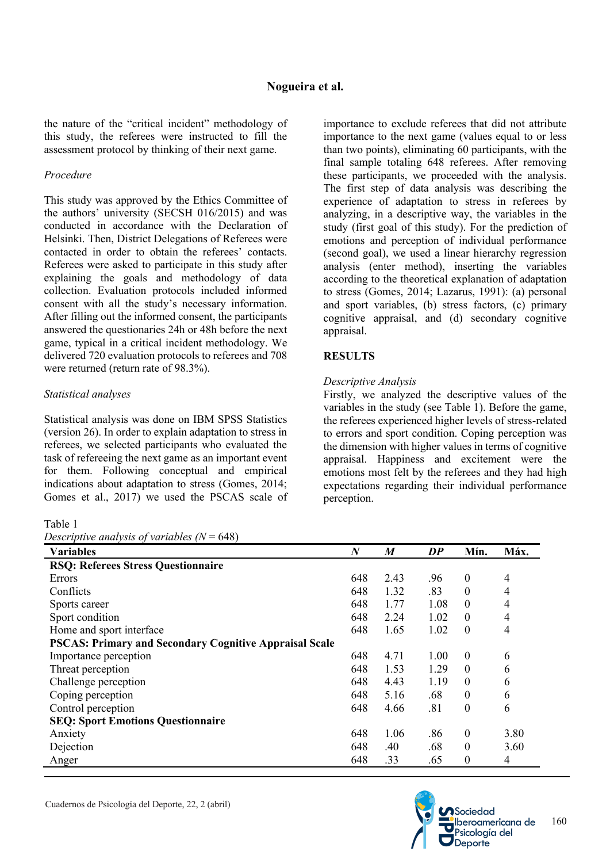the nature of the "critical incident" methodology of this study, the referees were instructed to fill the assessment protocol by thinking of their next game.

#### *Procedure*

This study was approved by the Ethics Committee of the authors' university (SECSH 016/2015) and was conducted in accordance with the Declaration of Helsinki. Then, District Delegations of Referees were contacted in order to obtain the referees' contacts. Referees were asked to participate in this study after explaining the goals and methodology of data collection. Evaluation protocols included informed consent with all the study's necessary information. After filling out the informed consent, the participants answered the questionaries 24h or 48h before the next game, typical in a critical incident methodology. We delivered 720 evaluation protocols to referees and 708 were returned (return rate of 98.3%).

## *Statistical analyses*

Statistical analysis was done on IBM SPSS Statistics (version 26). In order to explain adaptation to stress in referees, we selected participants who evaluated the task of refereeing the next game as an important event for them. Following conceptual and empirical indications about adaptation to stress (Gomes, 2014; Gomes et al., 2017) we used the PSCAS scale of

#### Table 1

*Descriptive analysis of variables (N* = 648)

importance to exclude referees that did not attribute importance to the next game (values equal to or less than two points), eliminating 60 participants, with the final sample totaling 648 referees. After removing these participants, we proceeded with the analysis. The first step of data analysis was describing the experience of adaptation to stress in referees by analyzing, in a descriptive way, the variables in the study (first goal of this study). For the prediction of emotions and perception of individual performance (second goal), we used a linear hierarchy regression analysis (enter method), inserting the variables according to the theoretical explanation of adaptation to stress (Gomes, 2014; Lazarus, 1991): (a) personal and sport variables, (b) stress factors, (c) primary cognitive appraisal, and (d) secondary cognitive appraisal.

## **RESULTS**

## *Descriptive Analysis*

Firstly, we analyzed the descriptive values of the variables in the study (see Table 1). Before the game, the referees experienced higher levels of stress-related to errors and sport condition. Coping perception was the dimension with higher values in terms of cognitive appraisal. Happiness and excitement were the emotions most felt by the referees and they had high expectations regarding their individual performance perception.

| $\frac{1}{2}$                                                 |                  |                  |      |                  |      |
|---------------------------------------------------------------|------------------|------------------|------|------------------|------|
| <b>Variables</b>                                              | $\boldsymbol{N}$ | $\boldsymbol{M}$ | DP   | Mín.             | Máx. |
| <b>RSQ: Referees Stress Questionnaire</b>                     |                  |                  |      |                  |      |
| Errors                                                        | 648              | 2.43             | .96  | $\boldsymbol{0}$ | 4    |
| Conflicts                                                     | 648              | 1.32             | .83  | $\theta$         | 4    |
| Sports career                                                 | 648              | 1.77             | 1.08 | $\theta$         | 4    |
| Sport condition                                               | 648              | 2.24             | 1.02 | $\boldsymbol{0}$ | 4    |
| Home and sport interface                                      | 648              | 1.65             | 1.02 | $\boldsymbol{0}$ | 4    |
| <b>PSCAS: Primary and Secondary Cognitive Appraisal Scale</b> |                  |                  |      |                  |      |
| Importance perception                                         | 648              | 4.71             | 1.00 | $\boldsymbol{0}$ | 6    |
| Threat perception                                             | 648              | 1.53             | 1.29 | $\theta$         | 6    |
| Challenge perception                                          | 648              | 4.43             | 1.19 | $\theta$         | 6    |
| Coping perception                                             | 648              | 5.16             | .68  | $\theta$         | 6    |
| Control perception                                            | 648              | 4.66             | .81  | $\boldsymbol{0}$ | 6    |
| <b>SEQ: Sport Emotions Questionnaire</b>                      |                  |                  |      |                  |      |
| Anxiety                                                       | 648              | 1.06             | .86  | $\boldsymbol{0}$ | 3.80 |
| Dejection                                                     | 648              | .40              | .68  | $\boldsymbol{0}$ | 3.60 |
| Anger                                                         | 648              | .33              | .65  | $\theta$         | 4    |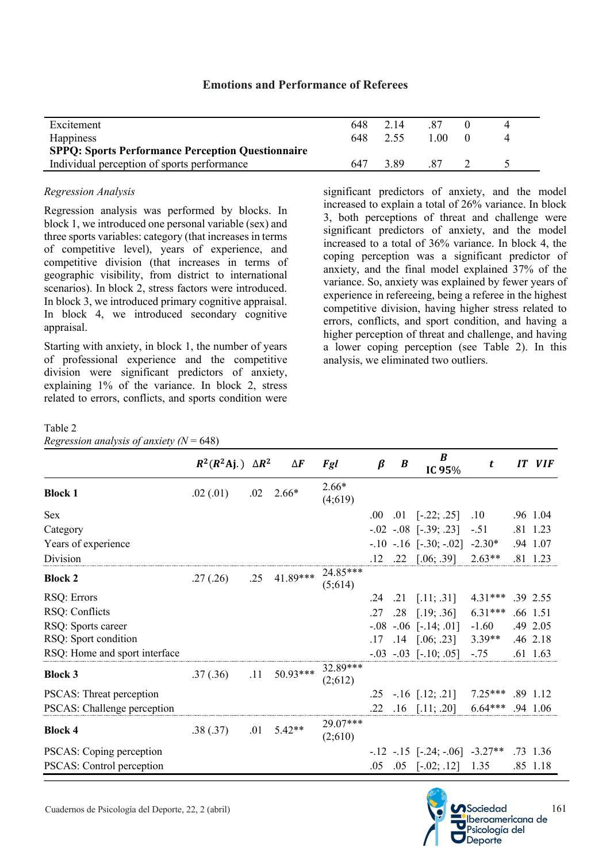| Excitement<br>Happiness                                                                                 | 648<br>648 | 2.14<br>2.55 | .87<br>1.00. |  |
|---------------------------------------------------------------------------------------------------------|------------|--------------|--------------|--|
| <b>SPPQ: Sports Performance Perception Questionnaire</b><br>Individual perception of sports performance | 647        | 3.89         | 87           |  |

## **Emotions and Performance of Referees**

#### *Regression Analysis*

Regression analysis was performed by blocks. In block 1, we introduced one personal variable (sex) and three sports variables: category (that increases in terms of competitive level), years of experience, and competitive division (that increases in terms of geographic visibility, from district to international scenarios). In block 2, stress factors were introduced. In block 3, we introduced primary cognitive appraisal. In block 4, we introduced secondary cognitive appraisal.

Starting with anxiety, in block 1, the number of years of professional experience and the competitive division were significant predictors of anxiety, explaining 1% of the variance. In block 2, stress related to errors, conflicts, and sports condition were significant predictors of anxiety, and the model increased to explain a total of 26% variance. In block 3, both perceptions of threat and challenge were significant predictors of anxiety, and the model increased to a total of 36% variance. In block 4, the coping perception was a significant predictor of anxiety, and the final model explained 37% of the variance. So, anxiety was explained by fewer years of experience in refereeing, being a referee in the highest competitive division, having higher stress related to errors, conflicts, and sport condition, and having a higher perception of threat and challenge, and having a lower coping perception (see Table 2). In this analysis, we eliminated two outliers.

#### Table 2

*Regression analysis of anxiety (N* = 648)

|                                            | $R^2(R^2 \text{Ai})$ $\Delta R^2$ |     | $\Delta \bm{F}$ | Fgl                 | $\beta$ | $\boldsymbol{B}$ | B<br>IC 95%                                     | t                   | IT | <b>VIF</b>           |
|--------------------------------------------|-----------------------------------|-----|-----------------|---------------------|---------|------------------|-------------------------------------------------|---------------------|----|----------------------|
| <b>Block 1</b>                             | .02(0.01)                         | .02 | $2.66*$         | $2.66*$<br>(4;619)  |         |                  |                                                 |                     |    |                      |
| <b>Sex</b>                                 |                                   |     |                 |                     | .00.    |                  | $.01$ [-.22; .25]                               | $.10\,$             |    | .96 1.04             |
| Category                                   |                                   |     |                 |                     |         |                  | $-.02$ $-.08$ $[-.39; .23]$                     | $-.51$              |    | .81 1.23             |
| Years of experience                        |                                   |     |                 |                     |         |                  | $-.10$ $-.16$ $[-.30; -.02]$                    | $-2.30*$            |    | .94 1.07             |
| Division                                   |                                   |     |                 |                     | .12     |                  | $.22$ [.06; .39]                                | $2.63**$            |    | .81 1.23             |
| <b>Block 2</b>                             | .27(.26)                          | .25 | 41.89***        | 24.85***<br>(5;614) |         |                  |                                                 |                     |    |                      |
| RSQ: Errors                                |                                   |     |                 |                     | .24     | .21              | [.11; .31]                                      | $4.31***$           |    | .39 2.55             |
| RSQ: Conflicts                             |                                   |     |                 |                     | .27     | .28              | [.19; .36]                                      | $6.31***$           |    | .66 1.51             |
| RSQ: Sports career<br>RSQ: Sport condition |                                   |     |                 |                     | .17     |                  | $-.08$ $-.06$ $[-.14; .01]$<br>$.14$ [.06; .23] | $-1.60$<br>$3.39**$ |    | .49 2.05<br>.46 2.18 |
| RSQ: Home and sport interface              |                                   |     |                 |                     |         |                  | $-.03$ $-.03$ $[-.10; .05]$                     | $-.75$              |    | .61 1.63             |
| <b>Block 3</b>                             | .37(.36)                          | .11 | 50.93***        | 32.89***<br>(2;612) |         |                  |                                                 |                     |    |                      |
| PSCAS: Threat perception                   |                                   |     |                 |                     | .25     |                  | $-.16$ [.12; .21]                               | $7.25***$           |    | .89 1.12             |
| PSCAS: Challenge perception                |                                   |     |                 |                     | .22     |                  | $.16$ [.11; .20]                                | $6.64***$           |    | .94 1.06             |
| <b>Block 4</b>                             | .38(.37)                          | .01 | $5.42**$        | 29.07***<br>(2;610) |         |                  |                                                 |                     |    |                      |
| PSCAS: Coping perception                   |                                   |     |                 |                     |         |                  | $-12$ $-15$ $[-.24; -06]$ $-3.27**$             |                     |    | .73 1.36             |
| PSCAS: Control perception                  |                                   |     |                 |                     | .05     | .05              | $[-.02; .12]$                                   | 1.35                |    | .85 1.18             |

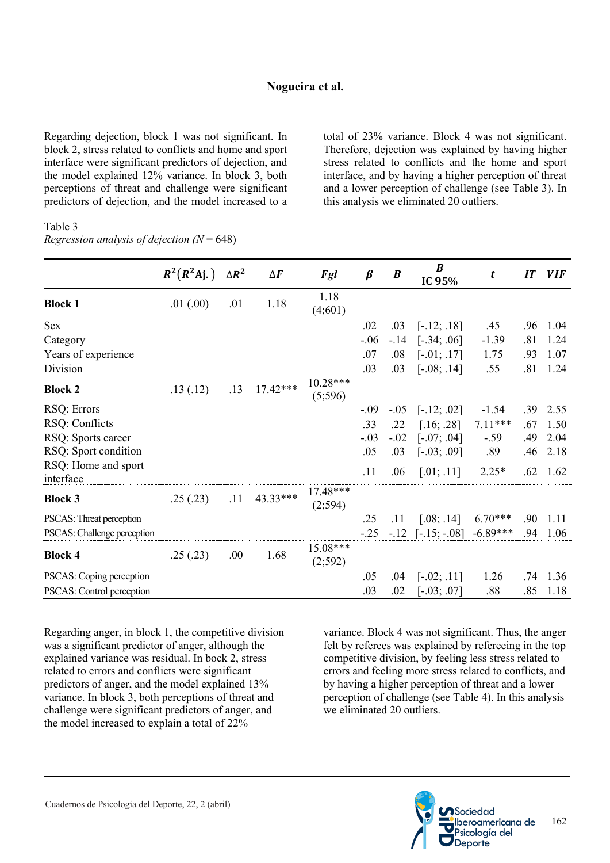Regarding dejection, block 1 was not significant. In block 2, stress related to conflicts and home and sport interface were significant predictors of dejection, and the model explained 12% variance. In block 3, both perceptions of threat and challenge were significant predictors of dejection, and the model increased to a

total of 23% variance. Block 4 was not significant. Therefore, dejection was explained by having higher stress related to conflicts and the home and sport interface, and by having a higher perception of threat and a lower perception of challenge (see Table 3). In this analysis we eliminated 20 outliers.

#### Table 3 *Regression analysis of dejection (N* = 648)

|                                  | $R^2(R^2 \text{Aj.})$ | $\Delta R^2$ | $\Delta \pmb{F}$ | Fgl                   | $\beta$ | $\boldsymbol{B}$ | $\boldsymbol{B}$<br>IC 95% | t          | IT  | <b>VIF</b> |
|----------------------------------|-----------------------|--------------|------------------|-----------------------|---------|------------------|----------------------------|------------|-----|------------|
| <b>Block 1</b>                   | .01(.00)              | .01          | 1.18             | 1.18<br>(4;601)       |         |                  |                            |            |     |            |
| Sex                              |                       |              |                  |                       | .02     | .03              | $[-.12; .18]$              | .45        | .96 | 1.04       |
| Category                         |                       |              |                  |                       | $-.06$  | $-.14$           | $[-.34; .06]$              | $-1.39$    | .81 | 1.24       |
| Years of experience              |                       |              |                  |                       | .07     | .08              | $[-.01; .17]$              | 1.75       | .93 | 1.07       |
| Division                         |                       |              |                  |                       | .03     | .03              | $[-.08; .14]$              | .55        | .81 | 1.24       |
| <b>Block 2</b>                   | .13(.12)              | .13          | $17.42***$       | $10.28***$<br>(5;596) |         |                  |                            |            |     |            |
| RSQ: Errors                      |                       |              |                  |                       | $-.09$  | $-.05$           | $[-.12; .02]$              | $-1.54$    | .39 | 2.55       |
| RSQ: Conflicts                   |                       |              |                  |                       | .33     | .22              | [.16; .28]                 | $7.11***$  | .67 | 1.50       |
| RSQ: Sports career               |                       |              |                  |                       | $-.03$  | $-.02$           | $[-.07; .04]$              | $-.59$     | .49 | 2.04       |
| RSQ: Sport condition             |                       |              |                  |                       | .05     | .03              | $[-.03; .09]$              | .89        | .46 | 2.18       |
| RSQ: Home and sport<br>interface |                       |              |                  |                       | .11     | .06              | [.01; .11]                 | $2.25*$    | .62 | 1.62       |
| <b>Block 3</b>                   | .25(.23)              | .11          | 43.33***         | 17.48***<br>(2;594)   |         |                  |                            |            |     |            |
| PSCAS: Threat perception         |                       |              |                  |                       | .25     | .11              | [.08; .14]                 | $6.70***$  | .90 | 1.11       |
| PSCAS: Challenge perception      |                       |              |                  |                       | $-.25$  | $-.12$           | $[-.15; -.08]$             | $-6.89***$ | .94 | 1.06       |
| <b>Block 4</b>                   | .25(.23)              | .00.         | 1.68             | 15.08***<br>(2;592)   |         |                  |                            |            |     |            |
| PSCAS: Coping perception         |                       |              |                  |                       | .05     | .04              | $[-.02; .11]$              | 1.26       | .74 | 1.36       |
| PSCAS: Control perception        |                       |              |                  |                       | .03     | .02              | $[-.03; .07]$              | .88        | .85 | 1.18       |

Regarding anger, in block 1, the competitive division was a significant predictor of anger, although the explained variance was residual. In bock 2, stress related to errors and conflicts were significant predictors of anger, and the model explained 13% variance. In block 3, both perceptions of threat and challenge were significant predictors of anger, and the model increased to explain a total of 22%

variance. Block 4 was not significant. Thus, the anger felt by referees was explained by refereeing in the top competitive division, by feeling less stress related to errors and feeling more stress related to conflicts, and by having a higher perception of threat and a lower perception of challenge (see Table 4). In this analysis we eliminated 20 outliers.

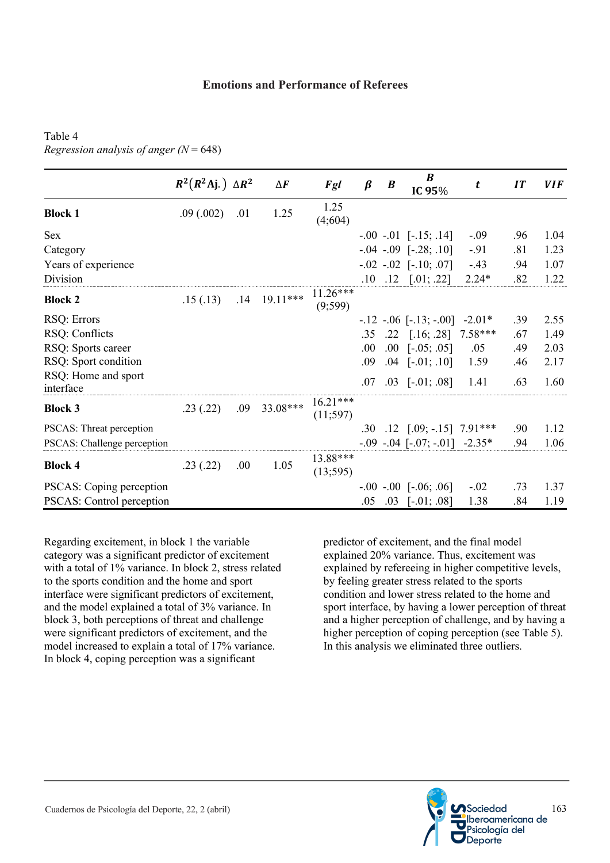# Table 4 *Regression analysis of anger (N* = 648)

|                                  | $R^2(R^2 \text{Aj.}) \Delta R^2$ |      | $\Delta \pmb{F}$ | Fgl                    | $\beta$ | $\boldsymbol{B}$ | B<br>IC 95%                           | t         | IT  | <b>VIF</b> |
|----------------------------------|----------------------------------|------|------------------|------------------------|---------|------------------|---------------------------------------|-----------|-----|------------|
| <b>Block 1</b>                   | .09(.002)                        | .01  | 1.25             | 1.25<br>(4;604)        |         |                  |                                       |           |     |            |
| <b>Sex</b>                       |                                  |      |                  |                        |         |                  | $-.00$ $-.01$ $[-.15; .14]$           | $-.09$    | .96 | 1.04       |
| Category                         |                                  |      |                  |                        |         |                  | $-.04$ $-.09$ $[-.28; .10]$           | $-.91$    | .81 | 1.23       |
| Years of experience              |                                  |      |                  |                        |         |                  | $-.02$ $-.02$ $[-.10; .07]$           | $-.43$    | .94 | 1.07       |
| Division                         |                                  |      |                  |                        | .10     | .12              | [.01; .22]                            | $2.24*$   | .82 | 1.22       |
| <b>Block 2</b>                   | .15(.13)                         | .14  | $19.11***$       | $11.26***$<br>(9;599)  |         |                  |                                       |           |     |            |
| RSQ: Errors                      |                                  |      |                  |                        |         |                  | $-.12$ $-.06$ $[-.13; -.00]$          | $-2.01*$  | .39 | 2.55       |
| RSQ: Conflicts                   |                                  |      |                  |                        | .35     | .22              | [.16; .28]                            | $7.58***$ | .67 | 1.49       |
| RSQ: Sports career               |                                  |      |                  |                        | .00.    | .00.             | $[-.05; .05]$                         | .05       | .49 | 2.03       |
| RSQ: Sport condition             |                                  |      |                  |                        | .09     | .04              | $[-.01; .10]$                         | 1.59      | .46 | 2.17       |
| RSQ: Home and sport<br>interface |                                  |      |                  |                        | .07     |                  | $.03$ [ $-.01; .08$ ]                 | 1.41      | .63 | 1.60       |
| <b>Block 3</b>                   | .23(.22)                         | .09  | 33.08***         | $16.21***$<br>(11;597) |         |                  |                                       |           |     |            |
| PSCAS: Threat perception         |                                  |      |                  |                        | .30     |                  | $.12$ $[.09; -.15]$ $7.91***$         |           | .90 | 1.12       |
| PSCAS: Challenge perception      |                                  |      |                  |                        |         |                  | $-.09$ $-.04$ $[-.07; -.01]$ $-2.35*$ |           | .94 | 1.06       |
| <b>Block 4</b>                   | .23(.22)                         | .00. | 1.05             | 13.88***<br>(13;595)   |         |                  |                                       |           |     |            |
| PSCAS: Coping perception         |                                  |      |                  |                        |         |                  | $-.00$ $-.00$ $[-.06; .06]$           | $-.02$    | .73 | 1.37       |
| PSCAS: Control perception        |                                  |      |                  |                        | .05     | .03              | $[-.01; .08]$                         | 1.38      | .84 | 1.19       |

Regarding excitement, in block 1 the variable category was a significant predictor of excitement with a total of 1% variance. In block 2, stress related to the sports condition and the home and sport interface were significant predictors of excitement, and the model explained a total of 3% variance. In block 3, both perceptions of threat and challenge were significant predictors of excitement, and the model increased to explain a total of 17% variance. In block 4, coping perception was a significant

predictor of excitement, and the final model explained 20% variance. Thus, excitement was explained by refereeing in higher competitive levels, by feeling greater stress related to the sports condition and lower stress related to the home and sport interface, by having a lower perception of threat and a higher perception of challenge, and by having a higher perception of coping perception (see Table 5). In this analysis we eliminated three outliers.

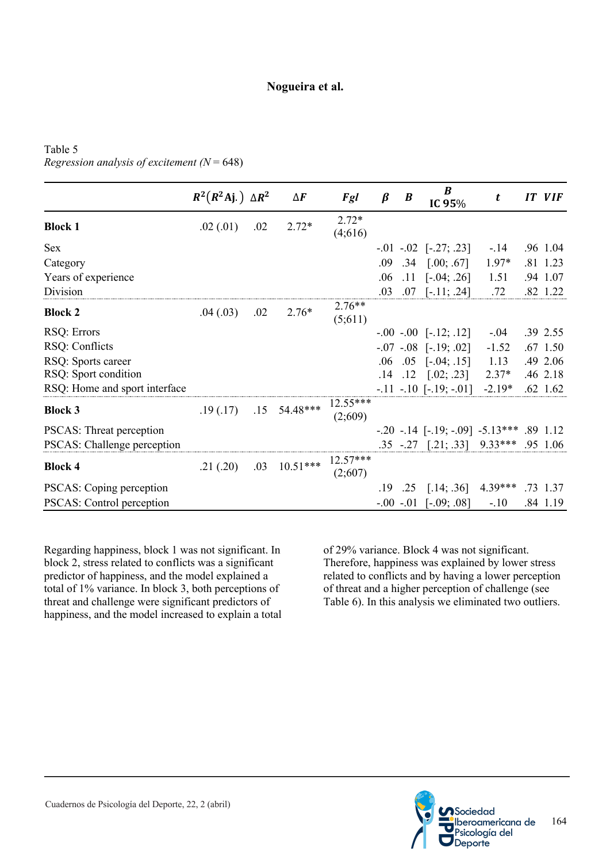# Table 5 *Regression analysis of excitement (N* = 648)

|                               | $R^2(R^2 \text{Aj.}) \Delta R^2$ |     | $\Delta F$ | Fgl                   | $\beta$ | $\boldsymbol{B}$ | $\boldsymbol{B}$<br>IC 95%               | t         | IT | <b>VIF</b> |
|-------------------------------|----------------------------------|-----|------------|-----------------------|---------|------------------|------------------------------------------|-----------|----|------------|
| <b>Block 1</b>                | .02(0.01)                        | .02 | $2.72*$    | $2.72*$<br>(4;616)    |         |                  |                                          |           |    |            |
| <b>Sex</b>                    |                                  |     |            |                       |         |                  | $-.01$ $-.02$ $[-.27; .23]$              | $-14$     |    | .96 1.04   |
| Category                      |                                  |     |            |                       | .09     |                  | $.34$ $[.00; .67]$                       | $1.97*$   |    | .81 1.23   |
| Years of experience           |                                  |     |            |                       | .06     | .11              | $[-.04; .26]$                            | 1.51      |    | .94 1.07   |
| Division                      |                                  |     |            |                       | .03     |                  | $.07$ [-.11; .24]                        | .72       |    | .82 1.22   |
| <b>Block 2</b>                | .04(0.03)                        | .02 | $2.76*$    | $2.76**$<br>(5;611)   |         |                  |                                          |           |    |            |
| RSQ: Errors                   |                                  |     |            |                       |         |                  | $-.00$ $-.00$ $[-.12; .12]$              | $-.04$    |    | .39 2.55   |
| RSQ: Conflicts                |                                  |     |            |                       |         |                  | $-.07$ $-.08$ $[-.19; .02]$              | $-1.52$   |    | $.67$ 1.50 |
| RSQ: Sports career            |                                  |     |            |                       | .06     |                  | $.05$ [ $-.04; .15$ ]                    | 1.13      |    | .49 2.06   |
| RSQ: Sport condition          |                                  |     |            |                       |         |                  | $.14$ $.12$ $[.02; .23]$                 | $2.37*$   |    | .46 2.18   |
| RSQ: Home and sport interface |                                  |     |            |                       |         |                  | $-.11$ $-.10$ $[-.19;-.01]$              | $-2.19*$  |    | $.62$ 1.62 |
| <b>Block 3</b>                | .19(.17)                         | .15 | 54.48***   | $12.55***$<br>(2;609) |         |                  |                                          |           |    |            |
| PSCAS: Threat perception      |                                  |     |            |                       |         |                  | $-.20$ $-.14$ $[-.19; -.09]$ $-.5.13***$ |           |    | .89 1.12   |
| PSCAS: Challenge perception   |                                  |     |            |                       |         |                  | .35 -.27 [.21; .33] 9.33*** .95 1.06     |           |    |            |
| <b>Block 4</b>                | .21(.20)                         | .03 | $10.51***$ | $12.57***$<br>(2;607) |         |                  |                                          |           |    |            |
| PSCAS: Coping perception      |                                  |     |            |                       | .19     | .25              | [.14; .36]                               | $4.39***$ |    | .73 1.37   |
| PSCAS: Control perception     |                                  |     |            |                       |         |                  | $-.00$ $-.01$ $[-.09; .08]$              | $-.10$    |    | .84 1.19   |

Regarding happiness, block 1 was not significant. In block 2, stress related to conflicts was a significant predictor of happiness, and the model explained a total of 1% variance. In block 3, both perceptions of threat and challenge were significant predictors of happiness, and the model increased to explain a total of 29% variance. Block 4 was not significant. Therefore, happiness was explained by lower stress related to conflicts and by having a lower perception of threat and a higher perception of challenge (see Table 6). In this analysis we eliminated two outliers.

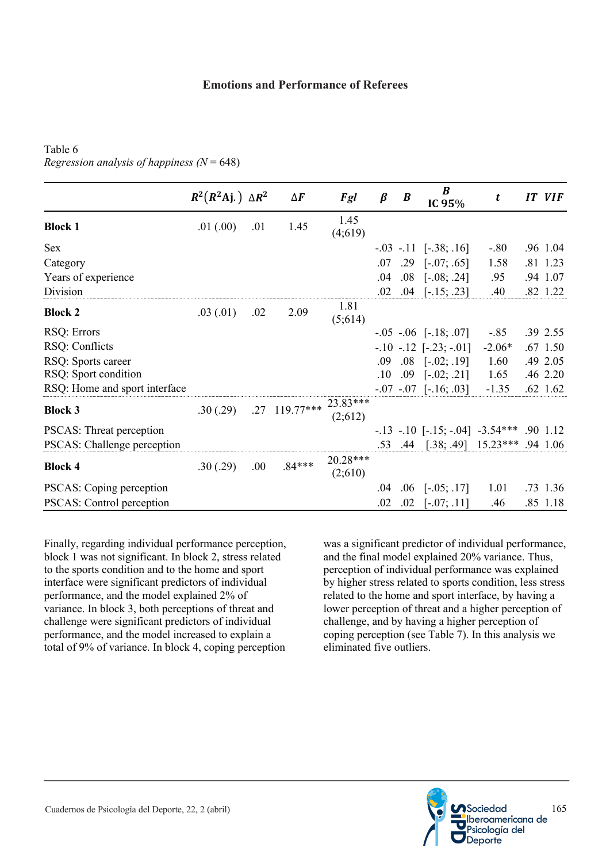## **Emotions and Performance of Referees**

# Table 6 *Regression analysis of happiness (N* = 648)

|                                 | $R^2(R^2 \text{Aj.}) \Delta R^2$ |     | $\Delta F$               | Fgl                 | $\beta$ | B   | $\boldsymbol{B}$<br>IC 95%                   | t        | IT VIF     |
|---------------------------------|----------------------------------|-----|--------------------------|---------------------|---------|-----|----------------------------------------------|----------|------------|
| <b>Block 1</b>                  | .01(.00)                         | .01 | 1.45                     | 1.45<br>(4;619)     |         |     |                                              |          |            |
| <b>Sex</b>                      |                                  |     |                          |                     |         |     | $-.03$ $-.11$ $[-.38; .16]$                  | $-.80$   | .96 1.04   |
| Category                        |                                  |     |                          |                     | .07     |     | $.29$ [ $-.07; .65$ ]                        | 1.58     | .81 1.23   |
| Years of experience             |                                  |     |                          |                     | .04     | .08 | $[-.08; .24]$                                | .95      | .94 1.07   |
| Division                        |                                  |     |                          |                     | .02     |     | $.04$ [-.15; .23]                            | .40      | .82 1.22   |
| <b>Block 2</b>                  | .03(0.01)                        | .02 | 2.09                     | 1.81<br>(5;614)     |         |     |                                              |          |            |
| RSQ: Errors                     |                                  |     |                          |                     |         |     | $-.05$ $-.06$ $[-.18; .07]$                  | $-.85$   | .39 2.55   |
| RSQ: Conflicts                  |                                  |     |                          |                     |         |     | $-.10$ $-.12$ $[-.23; -.01]$                 | $-2.06*$ | .67 1.50   |
| RSQ: Sports career              |                                  |     |                          |                     | .09     |     | $.08$ [ $-.02; .19$ ]                        | 1.60     | .49 2.05   |
| RSQ: Sport condition            |                                  |     |                          |                     | $.10\,$ |     | $.09$ [ $-.02; .21$ ]                        | 1.65     | .46 2.20   |
| RSQ: Home and sport interface   |                                  |     |                          |                     |         |     | $-.07$ $-.07$ $[-.16; .03]$                  | $-1.35$  | $.62$ 1.62 |
| <b>Block 3</b>                  | .30(.29)                         |     | .27 119.77*** $23.83***$ | (2;612)             |         |     |                                              |          |            |
| <b>PSCAS:</b> Threat perception |                                  |     |                          |                     |         |     | $-13$ $-10$ $[-15; -04]$ $-3.54***$ .90 1.12 |          |            |
| PSCAS: Challenge perception     |                                  |     |                          |                     |         |     | .53 .44 [.38; .49] 15.23*** .94 1.06         |          |            |
| <b>Block 4</b>                  | .30(.29)                         | .00 | $.84***$                 | 20.28***<br>(2;610) |         |     |                                              |          |            |
| PSCAS: Coping perception        |                                  |     |                          |                     | .04     |     | $.06$ [ $-.05$ ; .17]                        | 1.01     | .73 1.36   |
| PSCAS: Control perception       |                                  |     |                          |                     | .02     | .02 | $[-.07; .11]$                                | .46      | .85 1.18   |

Finally, regarding individual performance perception, block 1 was not significant. In block 2, stress related to the sports condition and to the home and sport interface were significant predictors of individual performance, and the model explained 2% of variance. In block 3, both perceptions of threat and challenge were significant predictors of individual performance, and the model increased to explain a total of 9% of variance. In block 4, coping perception was a significant predictor of individual performance, and the final model explained 20% variance. Thus, perception of individual performance was explained by higher stress related to sports condition, less stress related to the home and sport interface, by having a lower perception of threat and a higher perception of challenge, and by having a higher perception of coping perception (see Table 7). In this analysis we eliminated five outliers.

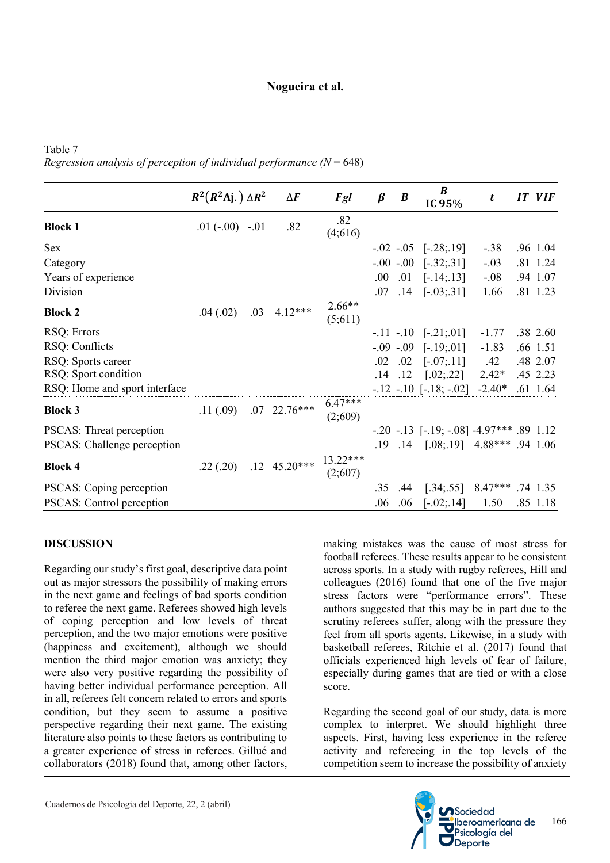Table 7 *Regression analysis of perception of individual performance*  $(N = 648)$ 

|                               | $R^2(R^2 \text{Aj.}) \Delta R^2$ |     | $\Delta F$           | Fgl                  | $\beta$ | $\boldsymbol{B}$ | B<br>IC 95%                                      | t         | IT | <b>VIF</b> |
|-------------------------------|----------------------------------|-----|----------------------|----------------------|---------|------------------|--------------------------------------------------|-----------|----|------------|
| <b>Block 1</b>                | $.01 (-.00) -.01$                |     | .82                  | .82<br>(4;616)       |         |                  |                                                  |           |    |            |
| Sex                           |                                  |     |                      |                      |         |                  | $-.02$ $-.05$ $[-.28; .19]$                      | $-.38$    |    | .96 1.04   |
| Category                      |                                  |     |                      |                      |         |                  | $-.00$ $-.00$ $[-.32; .31]$                      | $-.03$    |    | .81 1.24   |
| Years of experience           |                                  |     |                      |                      | .00.    |                  | $.01$ [-.14;.13]                                 | $-.08$    |    | .94 1.07   |
| Division                      |                                  |     |                      |                      | .07     | .14              | $[-.03; .31]$                                    | 1.66      |    | .81 1.23   |
| <b>Block 2</b>                | .04(.02)                         | .03 | $4.12***$            | $2.66**$<br>(5;611)  |         |                  |                                                  |           |    |            |
| RSQ: Errors                   |                                  |     |                      |                      |         |                  | $-.11$ $-.10$ $[-.21; .01]$                      | $-1.77$   |    | .38 2.60   |
| RSQ: Conflicts                |                                  |     |                      |                      |         |                  | $-.09$ $-.09$ $[-.19; .01]$                      | $-1.83$   |    | .66 1.51   |
| RSQ: Sports career            |                                  |     |                      |                      | .02     | .02              | $[-.07; .11]$                                    | .42       |    | .48 2.07   |
| RSQ: Sport condition          |                                  |     |                      |                      | .14     | .12              | [.02; .22]                                       | $2.42*$   |    | .45 2.23   |
| RSQ: Home and sport interface |                                  |     |                      |                      |         |                  | $-.12$ $-.10$ $[-.18; -.02]$                     | $-2.40*$  |    | $.61$ 1.64 |
| <b>Block 3</b>                | .11(.09)                         |     | $.07$ 22.76***       | $6.47***$<br>(2;609) |         |                  |                                                  |           |    |            |
| PSCAS: Threat perception      |                                  |     |                      |                      |         |                  | $-.20$ $-.13$ $[-.19; -.08]$ $-4.97***$ .89 1.12 |           |    |            |
| PSCAS: Challenge perception   |                                  |     |                      |                      |         |                  | .19 .14 [.08;.19] 4.88*** .94 1.06               |           |    |            |
| <b>Block 4</b>                | .22(.20)                         |     | $.12 \quad 45.20***$ | 13.22***<br>(2;607)  |         |                  |                                                  |           |    |            |
| PSCAS: Coping perception      |                                  |     |                      |                      | .35     | .44              | [.34; .55]                                       | $8.47***$ |    | .74 1.35   |
| PSCAS: Control perception     |                                  |     |                      |                      | .06     | .06              | $[-.02; .14]$                                    | 1.50      |    | .85 1.18   |

## **DISCUSSION**

Regarding our study's first goal, descriptive data point out as major stressors the possibility of making errors in the next game and feelings of bad sports condition to referee the next game. Referees showed high levels of coping perception and low levels of threat perception, and the two major emotions were positive (happiness and excitement), although we should mention the third major emotion was anxiety; they were also very positive regarding the possibility of having better individual performance perception. All in all, referees felt concern related to errors and sports condition, but they seem to assume a positive perspective regarding their next game. The existing literature also points to these factors as contributing to a greater experience of stress in referees. Gillué and collaborators (2018) found that, among other factors,

making mistakes was the cause of most stress for football referees. These results appear to be consistent across sports. In a study with rugby referees, Hill and colleagues (2016) found that one of the five major stress factors were "performance errors". These authors suggested that this may be in part due to the scrutiny referees suffer, along with the pressure they feel from all sports agents. Likewise, in a study with basketball referees, Ritchie et al. (2017) found that officials experienced high levels of fear of failure, especially during games that are tied or with a close score.

Regarding the second goal of our study, data is more complex to interpret. We should highlight three aspects. First, having less experience in the referee activity and refereeing in the top levels of the competition seem to increase the possibility of anxiety

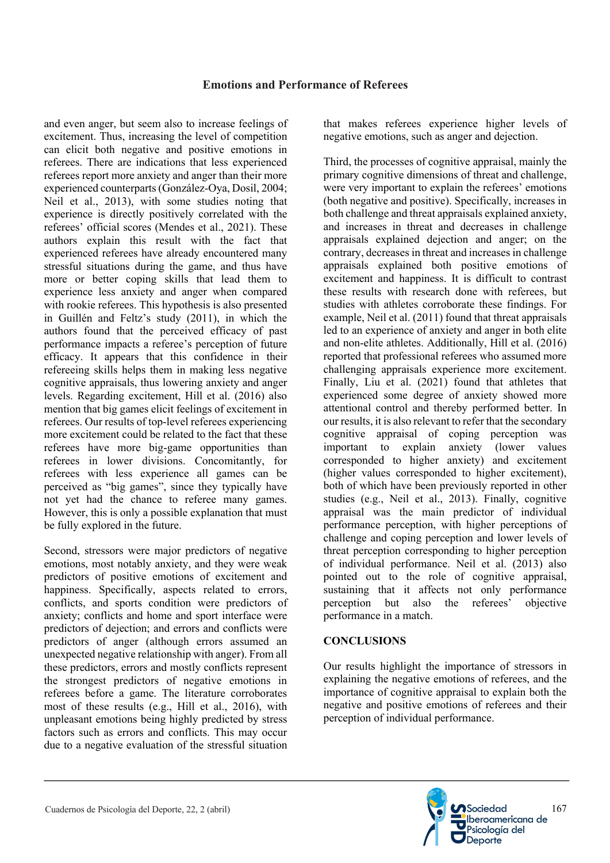and even anger, but seem also to increase feelings of excitement. Thus, increasing the level of competition can elicit both negative and positive emotions in referees. There are indications that less experienced referees report more anxiety and anger than their more experienced counterparts (González-Oya, Dosil, 2004; Neil et al., 2013), with some studies noting that experience is directly positively correlated with the referees' official scores (Mendes et al., 2021). These authors explain this result with the fact that experienced referees have already encountered many stressful situations during the game, and thus have more or better coping skills that lead them to experience less anxiety and anger when compared with rookie referees. This hypothesis is also presented in Guillén and Feltz's study (2011), in which the authors found that the perceived efficacy of past performance impacts a referee's perception of future efficacy. It appears that this confidence in their refereeing skills helps them in making less negative cognitive appraisals, thus lowering anxiety and anger levels. Regarding excitement, Hill et al. (2016) also mention that big games elicit feelings of excitement in referees. Our results of top-level referees experiencing more excitement could be related to the fact that these referees have more big-game opportunities than referees in lower divisions. Concomitantly, for referees with less experience all games can be perceived as "big games", since they typically have not yet had the chance to referee many games. However, this is only a possible explanation that must be fully explored in the future.

Second, stressors were major predictors of negative emotions, most notably anxiety, and they were weak predictors of positive emotions of excitement and happiness. Specifically, aspects related to errors, conflicts, and sports condition were predictors of anxiety; conflicts and home and sport interface were predictors of dejection; and errors and conflicts were predictors of anger (although errors assumed an unexpected negative relationship with anger). From all these predictors, errors and mostly conflicts represent the strongest predictors of negative emotions in referees before a game. The literature corroborates most of these results (e.g., Hill et al., 2016), with unpleasant emotions being highly predicted by stress factors such as errors and conflicts. This may occur due to a negative evaluation of the stressful situation

that makes referees experience higher levels of negative emotions, such as anger and dejection.

Third, the processes of cognitive appraisal, mainly the primary cognitive dimensions of threat and challenge, were very important to explain the referees' emotions (both negative and positive). Specifically, increases in both challenge and threat appraisals explained anxiety, and increases in threat and decreases in challenge appraisals explained dejection and anger; on the contrary, decreases in threat and increases in challenge appraisals explained both positive emotions of excitement and happiness. It is difficult to contrast these results with research done with referees, but studies with athletes corroborate these findings. For example, Neil et al. (2011) found that threat appraisals led to an experience of anxiety and anger in both elite and non-elite athletes. Additionally, Hill et al. (2016) reported that professional referees who assumed more challenging appraisals experience more excitement. Finally, Liu et al. (2021) found that athletes that experienced some degree of anxiety showed more attentional control and thereby performed better. In our results, it is also relevant to refer that the secondary cognitive appraisal of coping perception was important to explain anxiety (lower values corresponded to higher anxiety) and excitement (higher values corresponded to higher excitement), both of which have been previously reported in other studies (e.g., Neil et al., 2013). Finally, cognitive appraisal was the main predictor of individual performance perception, with higher perceptions of challenge and coping perception and lower levels of threat perception corresponding to higher perception of individual performance. Neil et al. (2013) also pointed out to the role of cognitive appraisal, sustaining that it affects not only performance perception but also the referees' objective performance in a match.

# **CONCLUSIONS**

Our results highlight the importance of stressors in explaining the negative emotions of referees, and the importance of cognitive appraisal to explain both the negative and positive emotions of referees and their perception of individual performance.

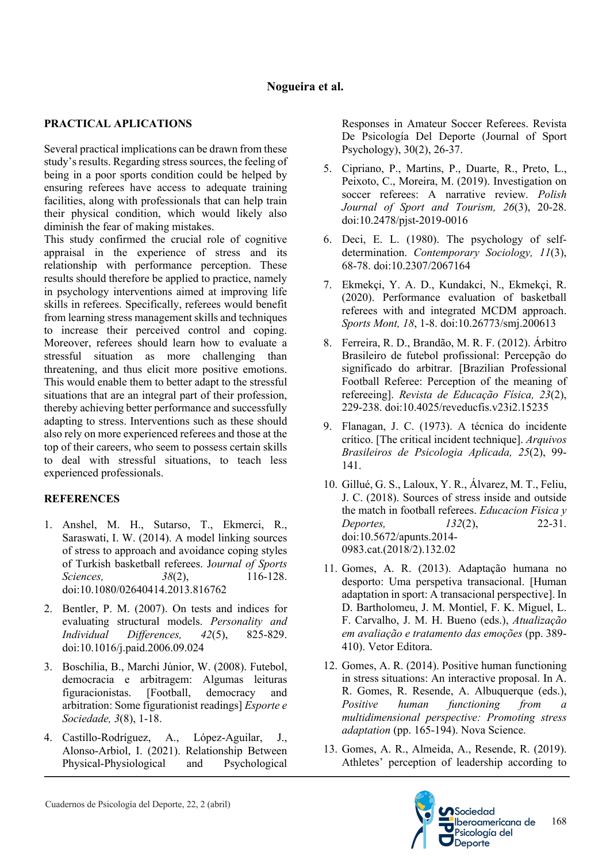# **PRACTICAL APLICATIONS**

Several practical implications can be drawn from these study's results. Regarding stress sources, the feeling of being in a poor sports condition could be helped by ensuring referees have access to adequate training facilities, along with professionals that can help train their physical condition, which would likely also diminish the fear of making mistakes.

This study confirmed the crucial role of cognitive appraisal in the experience of stress and its relationship with performance perception. These results should therefore be applied to practice, namely in psychology interventions aimed at improving life skills in referees. Specifically, referees would benefit from learning stress management skills and techniques to increase their perceived control and coping. Moreover, referees should learn how to evaluate a stressful situation as more challenging than threatening, and thus elicit more positive emotions. This would enable them to better adapt to the stressful situations that are an integral part of their profession, thereby achieving better performance and successfully adapting to stress. Interventions such as these should also rely on more experienced referees and those at the top of their careers, who seem to possess certain skills to deal with stressful situations, to teach less experienced professionals.

# **REFERENCES**

- 1. Anshel, M. H., Sutarso, T., Ekmerci, R., Saraswati, I. W. (2014). A model linking sources of stress to approach and avoidance coping styles of Turkish basketball referees. J*ournal of Sports Sciences,* 38(2), 116-128. doi:10.1080/02640414.2013.816762
- 2. Bentler, P. M. (2007). On tests and indices for evaluating structural models. *Personality and Individual Differences, 42*(5), 825-829. doi:10.1016/j.paid.2006.09.024
- 3. Boschilia, B., Marchi Júnior, W. (2008). Futebol, democracia e arbitragem: Algumas leituras figuracionistas. [Football, democracy and arbitration: Some figurationist readings] *Esporte e Sociedade, 3*(8), 1-18.
- 4. Castillo-Rodríguez, A., López-Aguilar, J., Alonso-Arbiol, I. (2021). Relationship Between Physical-Physiological and Psychological

Responses in Amateur Soccer Referees. Revista De Psicología Del Deporte (Journal of Sport Psychology), 30(2), 26-37.

- 5. Cipriano, P., Martins, P., Duarte, R., Preto, L., Peixoto, C., Moreira, M. (2019). Investigation on soccer referees: A narrative review. *Polish Journal of Sport and Tourism, 26*(3), 20-28. doi:10.2478/pjst-2019-0016
- 6. Deci, E. L. (1980). The psychology of selfdetermination. *Contemporary Sociology, 11*(3), 68-78. doi:10.2307/2067164
- 7. Ekmekçi, Y. A. D., Kundakci, N., Ekmekçi, R. (2020). Performance evaluation of basketball referees with and integrated MCDM approach. *Sports Mont, 18*, 1-8. doi:10.26773/smj.200613
- 8. Ferreira, R. D., Brandão, M. R. F. (2012). Árbitro Brasileiro de futebol profissional: Percepção do significado do arbitrar. [Brazilian Professional Football Referee: Perception of the meaning of refereeing]. *Revista de Educação Física, 23*(2), 229-238. doi:10.4025/reveducfis.v23i2.15235
- 9. Flanagan, J. C. (1973). A técnica do incidente crítico. [The critical incident technique]. *Arquivos Brasileiros de Psicologia Aplicada, 25*(2), 99- 141.
- 10. Gillué, G. S., Laloux, Y. R., Álvarez, M. T., Feliu, J. C. (2018). Sources of stress inside and outside the match in football referees. *Educacion Fisica y Deportes, 132*(2), 22-31. doi:10.5672/apunts.2014- 0983.cat.(2018/2).132.02
- 11. Gomes, A. R. (2013). Adaptação humana no desporto: Uma perspetiva transacional. [Human adaptation in sport: A transacional perspective]. In D. Bartholomeu, J. M. Montiel, F. K. Miguel, L. F. Carvalho, J. M. H. Bueno (eds.), *Atualização em avaliação e tratamento das emoções* (pp. 389- 410). Vetor Editora.
- 12. Gomes, A. R. (2014). Positive human functioning in stress situations: An interactive proposal. In A. R. Gomes, R. Resende, A. Albuquerque (eds.), *Positive human functioning from a multidimensional perspective: Promoting stress adaptation* (pp. 165-194). Nova Science.
- 13. Gomes, A. R., Almeida, A., Resende, R. (2019). Athletes' perception of leadership according to

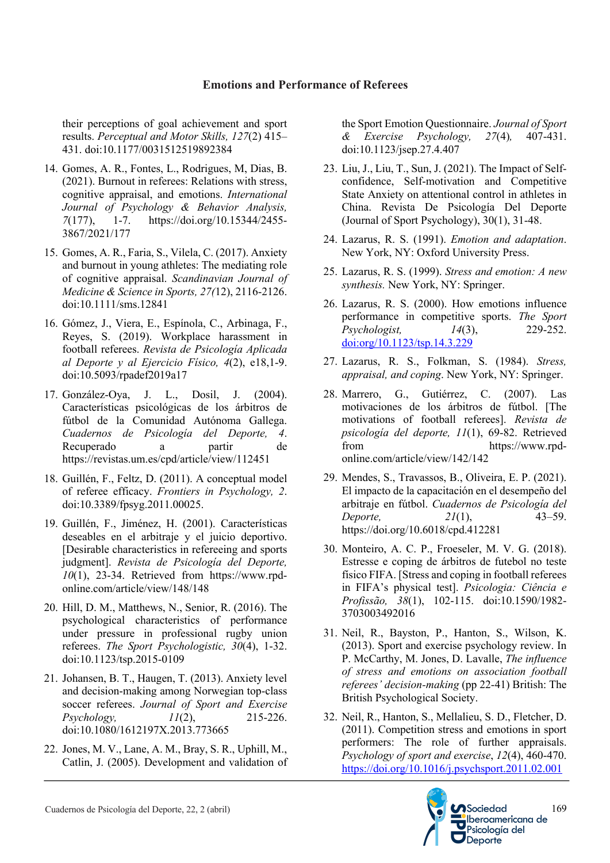their perceptions of goal achievement and sport results. *Perceptual and Motor Skills, 127*(2) 415– 431. doi:10.1177/0031512519892384

- 14. Gomes, A. R., Fontes, L., Rodrigues, M, Dias, B. (2021). Burnout in referees: Relations with stress, cognitive appraisal, and emotions. *International Journal of Psychology & Behavior Analysis, 7*(177), 1-7. https://doi.org/10.15344/2455- 3867/2021/177
- 15. Gomes, A. R., Faria, S., Vilela, C. (2017). Anxiety and burnout in young athletes: The mediating role of cognitive appraisal. *Scandinavian Journal of Medicine & Science in Sports, 27(*12), 2116-2126. doi:10.1111/sms.12841
- 16. Gómez, J., Viera, E., Espínola, C., Arbinaga, F., Reyes, S. (2019). Workplace harassment in football referees. *Revista de Psicología Aplicada al Deporte y al Ejercicio Físico, 4*(2), e18,1-9. doi:10.5093/rpadef2019a17
- 17. González-Oya, J. L., Dosil, J. (2004). Características psicológicas de los árbitros de fútbol de la Comunidad Autónoma Gallega. *Cuadernos de Psicología del Deporte, 4*. Recuperado a partir de https://revistas.um.es/cpd/article/view/112451
- 18. Guillén, F., Feltz, D. (2011). A conceptual model of referee efficacy. *Frontiers in Psychology, 2*. doi:10.3389/fpsyg.2011.00025.
- 19. Guillén, F., Jiménez, H. (2001). Características deseables en el arbitraje y el juicio deportivo. [Desirable characteristics in refereeing and sports judgment]. *Revista de Psicología del Deporte, 10*(1), 23-34. Retrieved from https://www.rpdonline.com/article/view/148/148
- 20. Hill, D. M., Matthews, N., Senior, R. (2016). The psychological characteristics of performance under pressure in professional rugby union referees. *The Sport Psychologistic, 30*(4), 1-32. doi:10.1123/tsp.2015-0109
- 21. Johansen, B. T., Haugen, T. (2013). Anxiety level and decision-making among Norwegian top-class soccer referees. *Journal of Sport and Exercise Psychology, 11*(2), 215-226. doi:10.1080/1612197X.2013.773665
- 22. Jones, M. V., Lane, A. M., Bray, S. R., Uphill, M., Catlin, J. (2005). Development and validation of

the Sport Emotion Questionnaire. *Journal of Sport & Exercise Psychology, 27*(4)*,* 407-431. doi:10.1123/jsep.27.4.407

- 23. Liu, J., Liu, T., Sun, J. (2021). The Impact of Selfconfidence, Self-motivation and Competitive State Anxiety on attentional control in athletes in China. Revista De Psicología Del Deporte (Journal of Sport Psychology), 30(1), 31-48.
- 24. Lazarus, R. S. (1991). *Emotion and adaptation*. New York, NY: Oxford University Press.
- 25. Lazarus, R. S. (1999). *Stress and emotion: A new synthesis.* New York, NY: Springer.
- 26. Lazarus, R. S. (2000). How emotions influence performance in competitive sports. *The Sport Psychologist, 14*(3), 229-252. doi:org/10.1123/tsp.14.3.229
- 27. Lazarus, R. S., Folkman, S. (1984). *Stress, appraisal, and coping*. New York, NY: Springer.
- 28. Marrero, G., Gutiérrez, C. (2007). Las motivaciones de los árbitros de fútbol. [The motivations of football referees]. *Revista de psicología del deporte, 11*(1), 69-82. Retrieved from https://www.rpdonline.com/article/view/142/142
- 29. Mendes, S., Travassos, B., Oliveira, E. P. (2021). El impacto de la capacitación en el desempeño del arbitraje en fútbol. *Cuadernos de Psicología del Deporte, 21*(1), 43–59. https://doi.org/10.6018/cpd.412281
- 30. Monteiro, A. C. P., Froeseler, M. V. G. (2018). Estresse e coping de árbitros de futebol no teste físico FIFA. [Stress and coping in football referees in FIFA's physical test]. *Psicologia: Ciência e Profissão, 38*(1), 102-115. doi:10.1590/1982- 3703003492016
- 31. Neil, R., Bayston, P., Hanton, S., Wilson, K. (2013). Sport and exercise psychology review. In P. McCarthy, M. Jones, D. Lavalle, *The influence of stress and emotions on association football referees' decision-making* (pp 22-41) British: The British Psychological Society.
- 32. Neil, R., Hanton, S., Mellalieu, S. D., Fletcher, D. (2011). Competition stress and emotions in sport performers: The role of further appraisals. *Psychology of sport and exercise*, *12*(4), 460-470. https://doi.org/10.1016/j.psychsport.2011.02.001